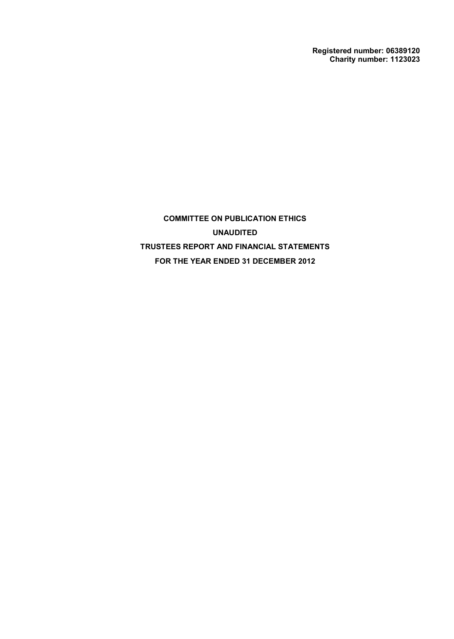**Registered number: 06389120 Charity number: 1123023**

**COMMITTEE ON PUBLICATION ETHICS UNAUDITED TRUSTEES REPORT AND FINANCIAL STATEMENTS FOR THE YEAR ENDED 31 DECEMBER 2012**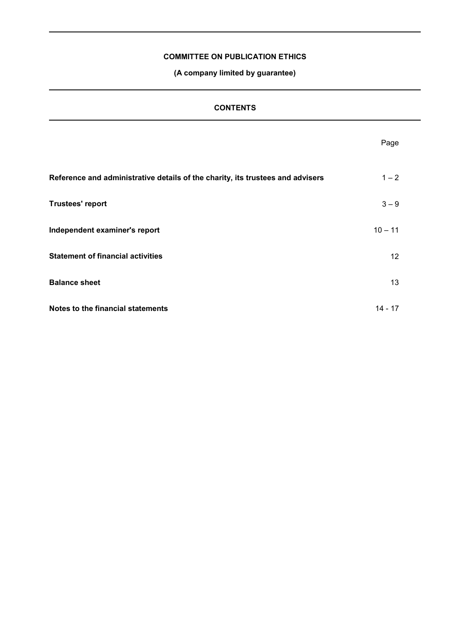**(A company limited by guarantee)**

 $\overline{\phantom{0}}$ 

| <b>CONTENTS</b>                                                                |           |  |
|--------------------------------------------------------------------------------|-----------|--|
|                                                                                | Page      |  |
| Reference and administrative details of the charity, its trustees and advisers | $1 - 2$   |  |
| <b>Trustees' report</b>                                                        | $3 - 9$   |  |
| Independent examiner's report                                                  | $10 - 11$ |  |
| <b>Statement of financial activities</b>                                       | 12        |  |
| <b>Balance sheet</b>                                                           | 13        |  |
| Notes to the financial statements                                              | $14 - 17$ |  |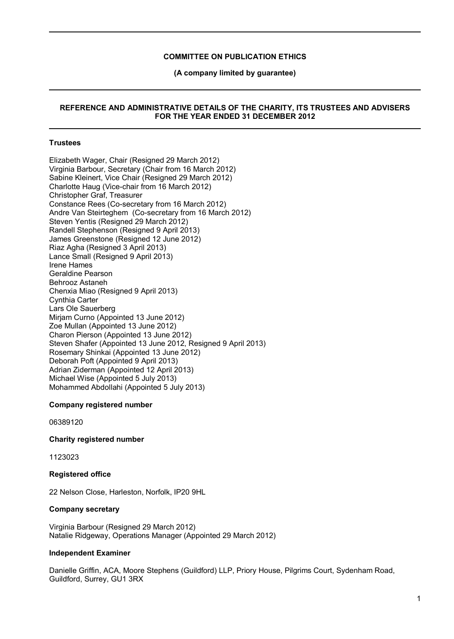**(A company limited by guarantee)**

## **REFERENCE AND ADMINISTRATIVE DETAILS OF THE CHARITY, ITS TRUSTEES AND ADVISERS FOR THE YEAR ENDED 31 DECEMBER 2012**

## **Trustees**

Elizabeth Wager, Chair (Resigned 29 March 2012) Virginia Barbour, Secretary (Chair from 16 March 2012) Sabine Kleinert, Vice Chair (Resigned 29 March 2012) Charlotte Haug (Vice-chair from 16 March 2012) Christopher Graf, Treasurer Constance Rees (Co-secretary from 16 March 2012) Andre Van Steirteghem (Co-secretary from 16 March 2012) Steven Yentis (Resigned 29 March 2012) Randell Stephenson (Resigned 9 April 2013) James Greenstone (Resigned 12 June 2012) Riaz Agha (Resigned 3 April 2013) Lance Small (Resigned 9 April 2013) Irene Hames Geraldine Pearson Behrooz Astaneh Chenxia Miao (Resigned 9 April 2013) Cynthia Carter Lars Ole Sauerberg Miriam Curno (Appointed 13 June 2012) Zoe Mullan (Appointed 13 June 2012) Charon Pierson (Appointed 13 June 2012) Steven Shafer (Appointed 13 June 2012, Resigned 9 April 2013) Rosemary Shinkai (Appointed 13 June 2012) Deborah Poft (Appointed 9 April 2013) Adrian Ziderman (Appointed 12 April 2013) Michael Wise (Appointed 5 July 2013) Mohammed Abdollahi (Appointed 5 July 2013)

#### **Company registered number**

06389120

### **Charity registered number**

1123023

#### **Registered office**

22 Nelson Close, Harleston, Norfolk, IP20 9HL

#### **Company secretary**

Virginia Barbour (Resigned 29 March 2012) Natalie Ridgeway, Operations Manager (Appointed 29 March 2012)

### **Independent Examiner**

Danielle Griffin, ACA, Moore Stephens (Guildford) LLP, Priory House, Pilgrims Court, Sydenham Road, Guildford, Surrey, GU1 3RX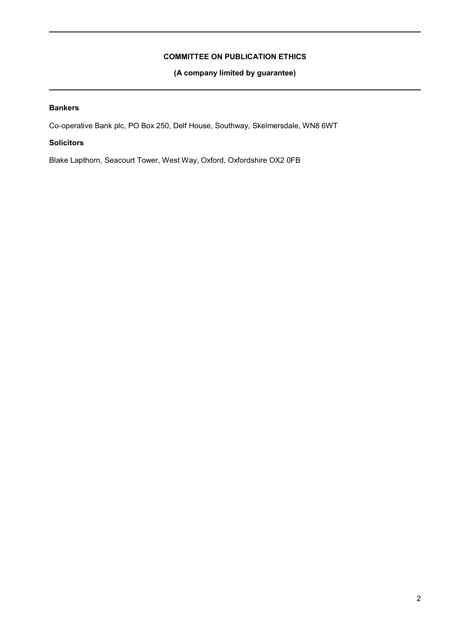**(A company limited by guarantee)**

# **Bankers**

Co-operative Bank plc, PO Box 250, Delf House, Southway, Skelmersdale, WN8 6WT

# **Solicitors**

Blake Lapthorn, Seacourt Tower, West Way, Oxford, Oxfordshire OX2 0FB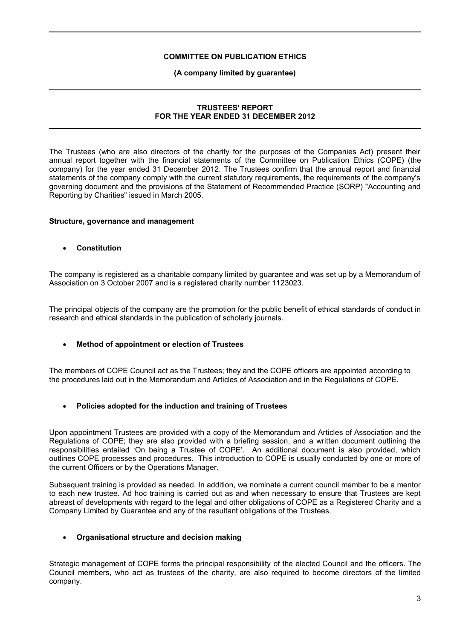### **(A company limited by guarantee)**

# **TRUSTEES' REPORT FOR THE YEAR ENDED 31 DECEMBER 2012**

The Trustees (who are also directors of the charity for the purposes of the Companies Act) present their annual report together with the financial statements of the Committee on Publication Ethics (COPE) (the company) for the year ended 31 December 2012. The Trustees confirm that the annual report and financial statements of the company comply with the current statutory requirements, the requirements of the company's governing document and the provisions of the Statement of Recommended Practice (SORP) "Accounting and Reporting by Charities" issued in March 2005.

## **Structure, governance and management**

**Constitution**

The company is registered as a charitable company limited by guarantee and was set up by a Memorandum of Association on 3 October 2007 and is a registered charity number 1123023.

The principal objects of the company are the promotion for the public benefit of ethical standards of conduct in research and ethical standards in the publication of scholarly journals.

# **Method of appointment or election of Trustees**

The members of COPE Council act as the Trustees; they and the COPE officers are appointed according to the procedures laid out in the Memorandum and Articles of Association and in the Regulations of COPE.

# **Policies adopted for the induction and training of Trustees**

Upon appointment Trustees are provided with a copy of the Memorandum and Articles of Association and the Regulations of COPE; they are also provided with a briefing session, and a written document outlining the responsibilities entailed 'On being a Trustee of COPE'. An additional document is also provided, which outlines COPE processes and procedures. This introduction to COPE is usually conducted by one or more of the current Officers or by the Operations Manager.

Subsequent training is provided as needed. In addition, we nominate a current council member to be a mentor to each new trustee. Ad hoc training is carried out as and when necessary to ensure that Trustees are kept abreast of developments with regard to the legal and other obligations of COPE as a Registered Charity and a Company Limited by Guarantee and any of the resultant obligations of the Trustees.

#### **Organisational structure and decision making**

Strategic management of COPE forms the principal responsibility of the elected Council and the officers. The Council members, who act as trustees of the charity, are also required to become directors of the limited company.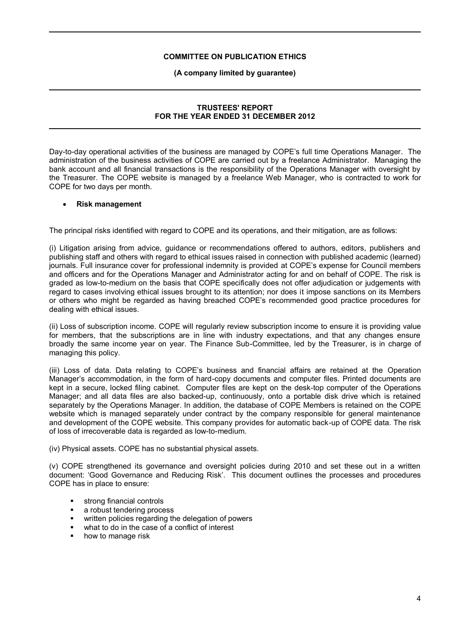### **(A company limited by guarantee)**

# **TRUSTEES' REPORT FOR THE YEAR ENDED 31 DECEMBER 2012**

Day-to-day operational activities of the business are managed by COPE's full time Operations Manager. The administration of the business activities of COPE are carried out by a freelance Administrator. Managing the bank account and all financial transactions is the responsibility of the Operations Manager with oversight by the Treasurer. The COPE website is managed by a freelance Web Manager, who is contracted to work for COPE for two days per month.

## **Risk management**

The principal risks identified with regard to COPE and its operations, and their mitigation, are as follows:

(i) Litigation arising from advice, guidance or recommendations offered to authors, editors, publishers and publishing staff and others with regard to ethical issues raised in connection with published academic (learned) journals. Full insurance cover for professional indemnity is provided at COPE's expense for Council members and officers and for the Operations Manager and Administrator acting for and on behalf of COPE. The risk is graded as low-to-medium on the basis that COPE specifically does not offer adjudication or judgements with regard to cases involving ethical issues brought to its attention; nor does it impose sanctions on its Members or others who might be regarded as having breached COPE's recommended good practice procedures for dealing with ethical issues.

(ii) Loss of subscription income. COPE will regularly review subscription income to ensure it is providing value for members, that the subscriptions are in line with industry expectations, and that any changes ensure broadly the same income year on year. The Finance Sub-Committee, led by the Treasurer, is in charge of managing this policy.

(iii) Loss of data. Data relating to COPE's business and financial affairs are retained at the Operation Manager's accommodation, in the form of hard-copy documents and computer files. Printed documents are kept in a secure, locked filing cabinet. Computer files are kept on the desk-top computer of the Operations Manager; and all data files are also backed-up, continuously, onto a portable disk drive which is retained separately by the Operations Manager. In addition, the database of COPE Members is retained on the COPE website which is managed separately under contract by the company responsible for general maintenance and development of the COPE website. This company provides for automatic back-up of COPE data. The risk of loss of irrecoverable data is regarded as low-to-medium.

(iv) Physical assets. COPE has no substantial physical assets.

(v) COPE strengthened its governance and oversight policies during 2010 and set these out in a written document: 'Good Governance and Reducing Risk'. This document outlines the processes and procedures COPE has in place to ensure:

- strong financial controls
- a robust tendering process
- written policies regarding the delegation of powers
- what to do in the case of a conflict of interest
- how to manage risk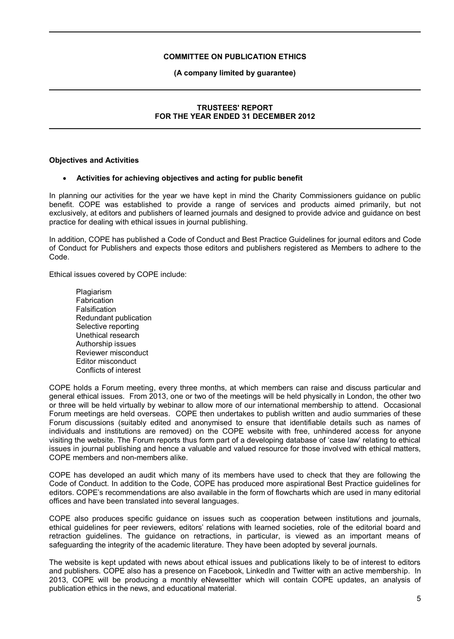### **(A company limited by guarantee)**

# **TRUSTEES' REPORT FOR THE YEAR ENDED 31 DECEMBER 2012**

#### **Objectives and Activities**

## **Activities for achieving objectives and acting for public benefit**

In planning our activities for the year we have kept in mind the Charity Commissioners guidance on public benefit. COPE was established to provide a range of services and products aimed primarily, but not exclusively, at editors and publishers of learned journals and designed to provide advice and guidance on best practice for dealing with ethical issues in journal publishing.

In addition, COPE has published a Code of Conduct and Best Practice Guidelines for journal editors and Code of Conduct for Publishers and expects those editors and publishers registered as Members to adhere to the Code.

Ethical issues covered by COPE include:

**Plagiarism Fabrication** Falsification Redundant publication Selective reporting Unethical research Authorship issues Reviewer misconduct Editor misconduct Conflicts of interest

COPE holds a Forum meeting, every three months, at which members can raise and discuss particular and general ethical issues. From 2013, one or two of the meetings will be held physically in London, the other two or three will be held virtually by webinar to allow more of our international membership to attend. Occasional Forum meetings are held overseas. COPE then undertakes to publish written and audio summaries of these Forum discussions (suitably edited and anonymised to ensure that identifiable details such as names of individuals and institutions are removed) on the COPE website with free, unhindered access for anyone visiting the website. The Forum reports thus form part of a developing database of 'case law' relating to ethical issues in journal publishing and hence a valuable and valued resource for those involved with ethical matters, COPE members and non-members alike.

COPE has developed an audit which many of its members have used to check that they are following the Code of Conduct. In addition to the Code, COPE has produced more aspirational Best Practice guidelines for editors. COPE's recommendations are also available in the form of flowcharts which are used in many editorial offices and have been translated into several languages.

COPE also produces specific guidance on issues such as cooperation between institutions and journals, ethical guidelines for peer reviewers, editors' relations with learned societies, role of the editorial board and retraction guidelines. The guidance on retractions, in particular, is viewed as an important means of safeguarding the integrity of the academic literature. They have been adopted by several journals.

The website is kept updated with news about ethical issues and publications likely to be of interest to editors and publishers. COPE also has a presence on Facebook, LinkedIn and Twitter with an active membership. In 2013, COPE will be producing a monthly eNewseltter which will contain COPE updates, an analysis of publication ethics in the news, and educational material.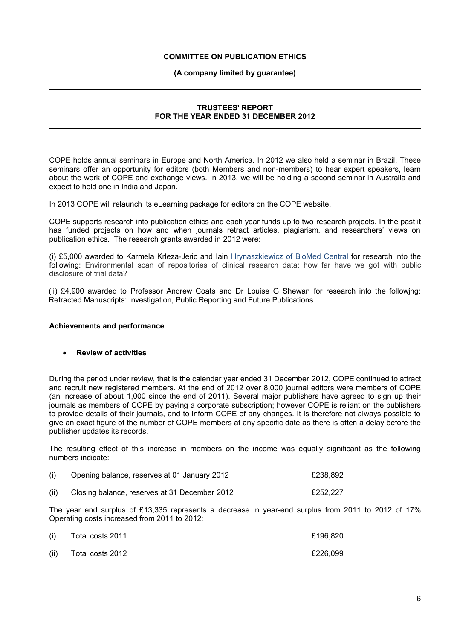### **(A company limited by guarantee)**

# **TRUSTEES' REPORT FOR THE YEAR ENDED 31 DECEMBER 2012**

COPE holds annual seminars in Europe and North America. In 2012 we also held a seminar in Brazil. These seminars offer an opportunity for editors (both Members and non-members) to hear expert speakers, learn about the work of COPE and exchange views. In 2013, we will be holding a second seminar in Australia and expect to hold one in India and Japan.

In 2013 COPE will relaunch its eLearning package for editors on the COPE website.

COPE supports research into publication ethics and each year funds up to two research projects. In the past it has funded projects on how and when journals retract articles, plagiarism, and researchers' views on publication ethics. The research grants awarded in 2012 were:

(i) £5,000 awarded to Karmela Krleza-Jeric and Iain Hrynaszkiewicz of BioMed Central for research into the following: Environmental scan of repositories of clinical research data: how far have we got with public disclosure of trial data?

(ii) £4,900 awarded to Professor Andrew Coats and Dr Louise G Shewan for research into the followjng: Retracted Manuscripts: Investigation, Public Reporting and Future Publications

#### **Achievements and performance**

## **Review of activities**

During the period under review, that is the calendar year ended 31 December 2012, COPE continued to attract and recruit new registered members. At the end of 2012 over 8,000 journal editors were members of COPE (an increase of about 1,000 since the end of 2011). Several major publishers have agreed to sign up their journals as members of COPE by paying a corporate subscription; however COPE is reliant on the publishers to provide details of their journals, and to inform COPE of any changes. It is therefore not always possible to give an exact figure of the number of COPE members at any specific date as there is often a delay before the publisher updates its records.

The resulting effect of this increase in members on the income was equally significant as the following numbers indicate:

|  | Opening balance, reserves at 01 January 2012 | £238,892 |
|--|----------------------------------------------|----------|
|  |                                              |          |

(ii) Closing balance, reserves at 31 December 2012 £252,227

The year end surplus of £13,335 represents a decrease in year-end surplus from 2011 to 2012 of 17% Operating costs increased from 2011 to 2012:

| (i)  | Total costs 2011 | £196.820 |
|------|------------------|----------|
| (ii) | Total costs 2012 | £226.099 |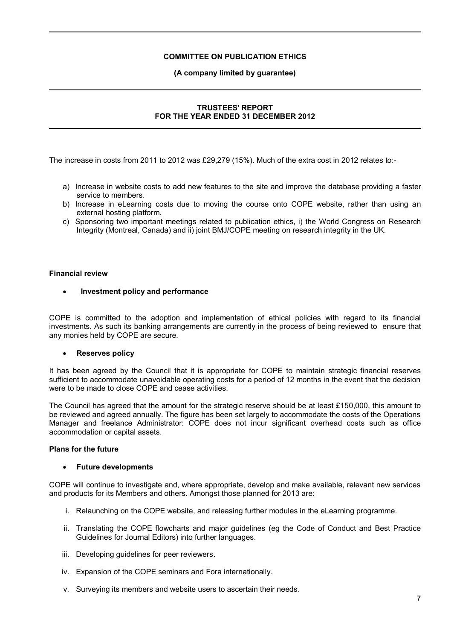### **(A company limited by guarantee)**

# **TRUSTEES' REPORT FOR THE YEAR ENDED 31 DECEMBER 2012**

The increase in costs from 2011 to 2012 was £29,279 (15%). Much of the extra cost in 2012 relates to:-

- a) Increase in website costs to add new features to the site and improve the database providing a faster service to members.
- b) Increase in eLearning costs due to moving the course onto COPE website, rather than using an external hosting platform.
- c) Sponsoring two important meetings related to publication ethics, i) the World Congress on Research Integrity (Montreal, Canada) and ii) joint BMJ/COPE meeting on research integrity in the UK.

## **Financial review**

 **Investment policy and performance**

COPE is committed to the adoption and implementation of ethical policies with regard to its financial investments. As such its banking arrangements are currently in the process of being reviewed to ensure that any monies held by COPE are secure.

# **Reserves policy**

It has been agreed by the Council that it is appropriate for COPE to maintain strategic financial reserves sufficient to accommodate unavoidable operating costs for a period of 12 months in the event that the decision were to be made to close COPE and cease activities.

The Council has agreed that the amount for the strategic reserve should be at least £150,000, this amount to be reviewed and agreed annually. The figure has been set largely to accommodate the costs of the Operations Manager and freelance Administrator: COPE does not incur significant overhead costs such as office accommodation or capital assets.

# **Plans for the future**

#### **Future developments**

COPE will continue to investigate and, where appropriate, develop and make available, relevant new services and products for its Members and others. Amongst those planned for 2013 are:

- i. Relaunching on the COPE website, and releasing further modules in the eLearning programme.
- ii. Translating the COPE flowcharts and major guidelines (eg the Code of Conduct and Best Practice Guidelines for Journal Editors) into further languages.
- iii. Developing guidelines for peer reviewers.
- iv. Expansion of the COPE seminars and Fora internationally.
- v. Surveying its members and website users to ascertain their needs.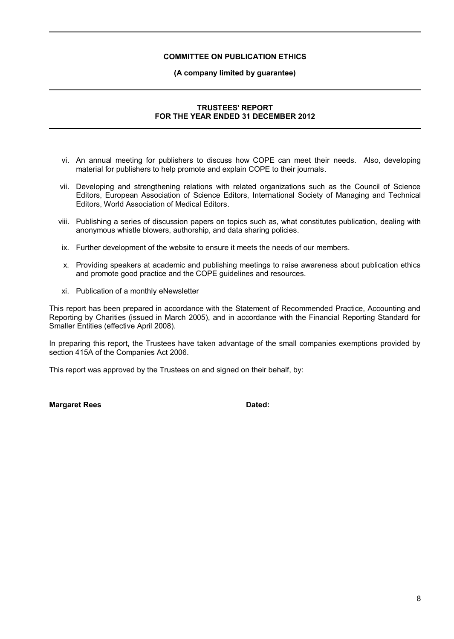### **(A company limited by guarantee)**

# **TRUSTEES' REPORT FOR THE YEAR ENDED 31 DECEMBER 2012**

- vi. An annual meeting for publishers to discuss how COPE can meet their needs. Also, developing material for publishers to help promote and explain COPE to their journals.
- vii. Developing and strengthening relations with related organizations such as the Council of Science Editors, European Association of Science Editors, International Society of Managing and Technical Editors, World Association of Medical Editors.
- viii. Publishing a series of discussion papers on topics such as, what constitutes publication, dealing with anonymous whistle blowers, authorship, and data sharing policies.
- ix. Further development of the website to ensure it meets the needs of our members.
- x. Providing speakers at academic and publishing meetings to raise awareness about publication ethics and promote good practice and the COPE guidelines and resources.
- xi. Publication of a monthly eNewsletter

This report has been prepared in accordance with the Statement of Recommended Practice, Accounting and Reporting by Charities (issued in March 2005), and in accordance with the Financial Reporting Standard for Smaller Entities (effective April 2008).

In preparing this report, the Trustees have taken advantage of the small companies exemptions provided by section 415A of the Companies Act 2006.

This report was approved by the Trustees on and signed on their behalf, by:

**Margaret Rees Dated:**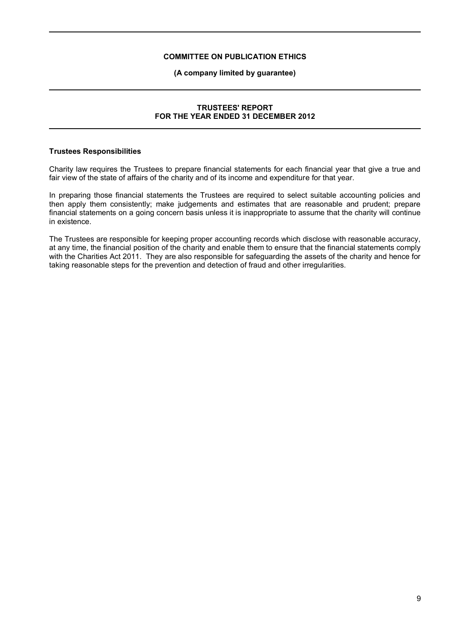## **(A company limited by guarantee)**

# **TRUSTEES' REPORT FOR THE YEAR ENDED 31 DECEMBER 2012**

#### **Trustees Responsibilities**

Charity law requires the Trustees to prepare financial statements for each financial year that give a true and fair view of the state of affairs of the charity and of its income and expenditure for that year.

In preparing those financial statements the Trustees are required to select suitable accounting policies and then apply them consistently; make judgements and estimates that are reasonable and prudent; prepare financial statements on a going concern basis unless it is inappropriate to assume that the charity will continue in existence.

The Trustees are responsible for keeping proper accounting records which disclose with reasonable accuracy, at any time, the financial position of the charity and enable them to ensure that the financial statements comply with the Charities Act 2011. They are also responsible for safeguarding the assets of the charity and hence for taking reasonable steps for the prevention and detection of fraud and other irregularities.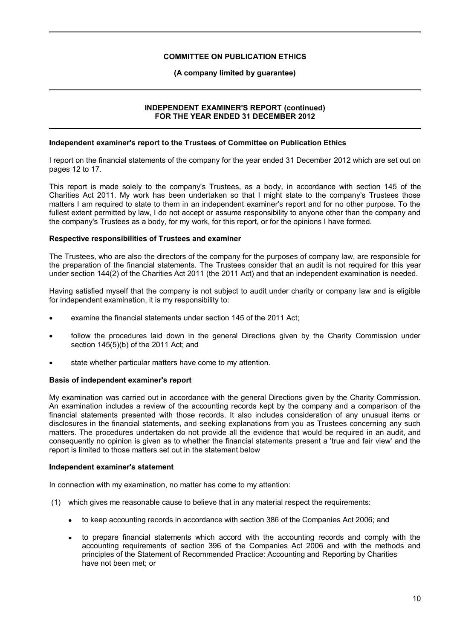### **(A company limited by guarantee)**

## **INDEPENDENT EXAMINER'S REPORT (continued) FOR THE YEAR ENDED 31 DECEMBER 2012**

#### **Independent examiner's report to the Trustees of Committee on Publication Ethics**

I report on the financial statements of the company for the year ended 31 December 2012 which are set out on pages 12 to 17.

This report is made solely to the company's Trustees, as a body, in accordance with section 145 of the Charities Act 2011. My work has been undertaken so that I might state to the company's Trustees those matters I am required to state to them in an independent examiner's report and for no other purpose. To the fullest extent permitted by law, I do not accept or assume responsibility to anyone other than the company and the company's Trustees as a body, for my work, for this report, or for the opinions I have formed.

## **Respective responsibilities of Trustees and examiner**

The Trustees, who are also the directors of the company for the purposes of company law, are responsible for the preparation of the financial statements. The Trustees consider that an audit is not required for this year under section 144(2) of the Charities Act 2011 (the 2011 Act) and that an independent examination is needed.

Having satisfied myself that the company is not subject to audit under charity or company law and is eligible for independent examination, it is my responsibility to:

- examine the financial statements under section 145 of the 2011 Act;
- follow the procedures laid down in the general Directions given by the Charity Commission under section 145(5)(b) of the 2011 Act; and
- state whether particular matters have come to my attention.

#### **Basis of independent examiner's report**

My examination was carried out in accordance with the general Directions given by the Charity Commission. An examination includes a review of the accounting records kept by the company and a comparison of the financial statements presented with those records. It also includes consideration of any unusual items or disclosures in the financial statements, and seeking explanations from you as Trustees concerning any such matters. The procedures undertaken do not provide all the evidence that would be required in an audit, and consequently no opinion is given as to whether the financial statements present a 'true and fair view' and the report is limited to those matters set out in the statement below

### **Independent examiner's statement**

In connection with my examination, no matter has come to my attention:

- (1) which gives me reasonable cause to believe that in any material respect the requirements:
	- to keep accounting records in accordance with section 386 of the Companies Act 2006; and
	- to prepare financial statements which accord with the accounting records and comply with the accounting requirements of section 396 of the Companies Act 2006 and with the methods and principles of the Statement of Recommended Practice: Accounting and Reporting by Charities have not been met; or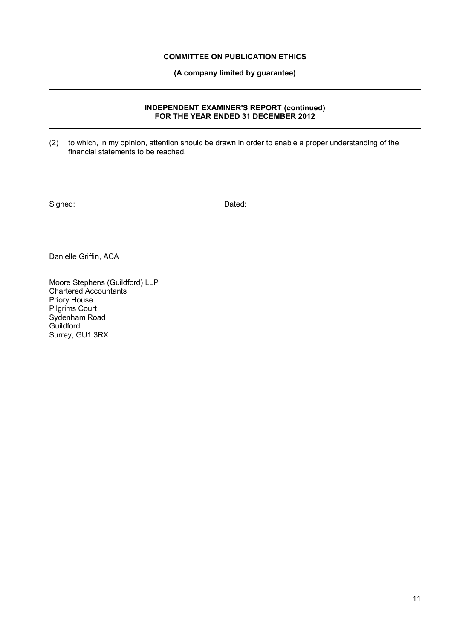**(A company limited by guarantee)**

## **INDEPENDENT EXAMINER'S REPORT (continued) FOR THE YEAR ENDED 31 DECEMBER 2012**

(2) to which, in my opinion, attention should be drawn in order to enable a proper understanding of the financial statements to be reached.

Signed: Dated: Dated:

Danielle Griffin, ACA

Moore Stephens (Guildford) LLP Chartered Accountants Priory House Pilgrims Court Sydenham Road Guildford Surrey, GU1 3RX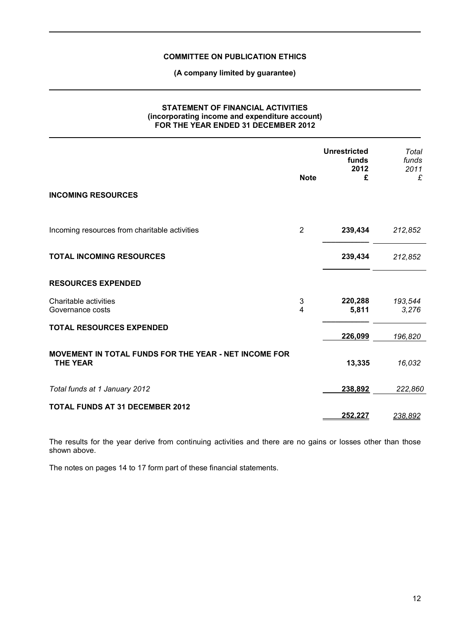**(A company limited by guarantee)**

## **STATEMENT OF FINANCIAL ACTIVITIES (incorporating income and expenditure account) FOR THE YEAR ENDED 31 DECEMBER 2012**

| <b>INCOMING RESOURCES</b>                                                | <b>Note</b>    | <b>Unrestricted</b><br>funds<br>2012<br>£ | Total<br>funds<br>2011<br>£ |
|--------------------------------------------------------------------------|----------------|-------------------------------------------|-----------------------------|
|                                                                          |                |                                           |                             |
| Incoming resources from charitable activities                            | $\overline{2}$ | 239,434                                   | 212,852                     |
| <b>TOTAL INCOMING RESOURCES</b>                                          |                | 239,434                                   | 212,852                     |
| <b>RESOURCES EXPENDED</b>                                                |                |                                           |                             |
| Charitable activities<br>Governance costs                                | 3<br>4         | 220,288<br>5,811                          | 193,544<br>3,276            |
| <b>TOTAL RESOURCES EXPENDED</b>                                          |                |                                           |                             |
|                                                                          |                | 226,099                                   | 196,820                     |
| MOVEMENT IN TOTAL FUNDS FOR THE YEAR - NET INCOME FOR<br><b>THE YEAR</b> |                | 13,335                                    | 16,032                      |
| Total funds at 1 January 2012                                            |                | 238,892                                   | 222,860                     |
| <b>TOTAL FUNDS AT 31 DECEMBER 2012</b>                                   |                | 252,227                                   | 238,892                     |

The results for the year derive from continuing activities and there are no gains or losses other than those shown above.

The notes on pages 14 to 17 form part of these financial statements.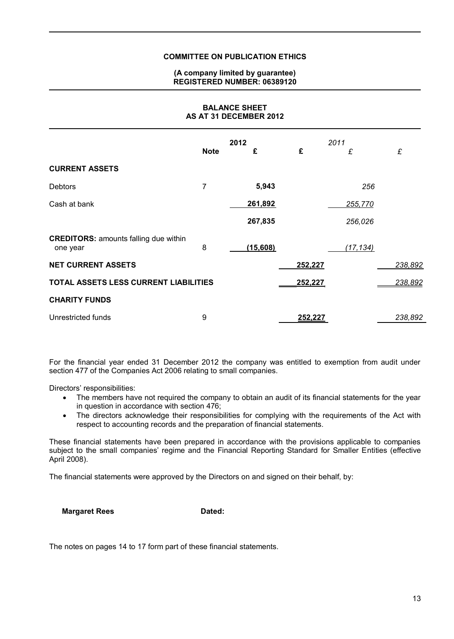### **(A company limited by guarantee) REGISTERED NUMBER: 06389120**

**BALANCE SHEET**

| AS AT 31 DECEMBER 2012                                   |             |          |         |           |         |
|----------------------------------------------------------|-------------|----------|---------|-----------|---------|
|                                                          |             | 2012     |         | 2011      |         |
|                                                          | <b>Note</b> | £        | £       | £         | £       |
| <b>CURRENT ASSETS</b>                                    |             |          |         |           |         |
| Debtors                                                  | 7           | 5,943    |         | 256       |         |
| Cash at bank                                             |             | 261,892  |         | 255,770   |         |
|                                                          |             | 267,835  |         | 256,026   |         |
| <b>CREDITORS: amounts falling due within</b><br>one year | 8           | (15,608) |         | (17, 134) |         |
| <b>NET CURRENT ASSETS</b>                                |             |          | 252,227 |           | 238,892 |
| TOTAL ASSETS LESS CURRENT LIABILITIES                    |             |          | 252,227 |           | 238,892 |
| <b>CHARITY FUNDS</b>                                     |             |          |         |           |         |
| Unrestricted funds                                       | 9           |          | 252,227 |           | 238,892 |

For the financial year ended 31 December 2012 the company was entitled to exemption from audit under section 477 of the Companies Act 2006 relating to small companies.

Directors' responsibilities:

- The members have not required the company to obtain an audit of its financial statements for the year in question in accordance with section 476;
- The directors acknowledge their responsibilities for complying with the requirements of the Act with respect to accounting records and the preparation of financial statements.

These financial statements have been prepared in accordance with the provisions applicable to companies subject to the small companies' regime and the Financial Reporting Standard for Smaller Entities (effective April 2008).

The financial statements were approved by the Directors on and signed on their behalf, by:

**Margaret Rees Dated:** 

The notes on pages 14 to 17 form part of these financial statements.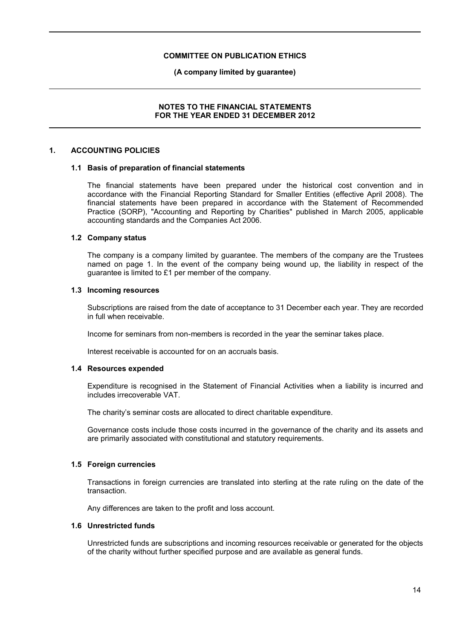#### **(A company limited by guarantee)**

## **NOTES TO THE FINANCIAL STATEMENTS FOR THE YEAR ENDED 31 DECEMBER 2012**

### **1. ACCOUNTING POLICIES**

#### **1.1 Basis of preparation of financial statements**

The financial statements have been prepared under the historical cost convention and in accordance with the Financial Reporting Standard for Smaller Entities (effective April 2008). The financial statements have been prepared in accordance with the Statement of Recommended Practice (SORP), "Accounting and Reporting by Charities" published in March 2005, applicable accounting standards and the Companies Act 2006.

#### **1.2 Company status**

The company is a company limited by guarantee. The members of the company are the Trustees named on page 1. In the event of the company being wound up, the liability in respect of the guarantee is limited to £1 per member of the company.

#### **1.3 Incoming resources**

Subscriptions are raised from the date of acceptance to 31 December each year. They are recorded in full when receivable.

Income for seminars from non-members is recorded in the year the seminar takes place.

Interest receivable is accounted for on an accruals basis.

#### **1.4 Resources expended**

Expenditure is recognised in the Statement of Financial Activities when a liability is incurred and includes irrecoverable VAT.

The charity's seminar costs are allocated to direct charitable expenditure.

Governance costs include those costs incurred in the governance of the charity and its assets and are primarily associated with constitutional and statutory requirements.

#### **1.5 Foreign currencies**

Transactions in foreign currencies are translated into sterling at the rate ruling on the date of the transaction.

Any differences are taken to the profit and loss account.

# **1.6 Unrestricted funds**

Unrestricted funds are subscriptions and incoming resources receivable or generated for the objects of the charity without further specified purpose and are available as general funds.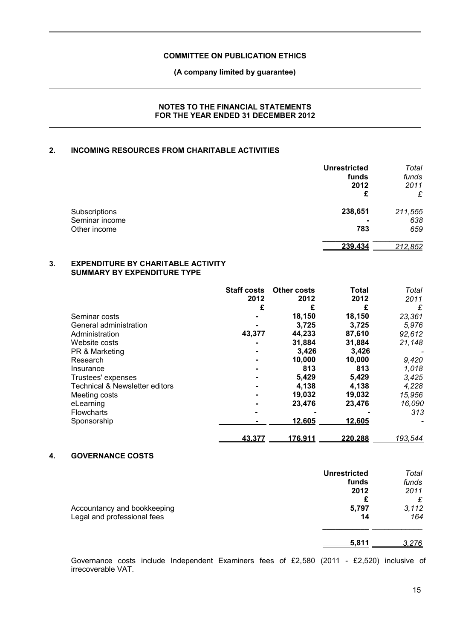### **(A company limited by guarantee)**

## **NOTES TO THE FINANCIAL STATEMENTS FOR THE YEAR ENDED 31 DECEMBER 2012**

# **2. INCOMING RESOURCES FROM CHARITABLE ACTIVITIES**

|                | <b>Unrestricted</b> | Total   |
|----------------|---------------------|---------|
|                | funds               | funds   |
|                | 2012                | 2011    |
|                | £                   | £       |
| Subscriptions  | 238,651             | 211,555 |
| Seminar income |                     | 638     |
| Other income   | 783                 | 659     |
|                | 239.434             | 212.852 |

#### **3. EXPENDITURE BY CHARITABLE ACTIVITY SUMMARY BY EXPENDITURE TYPE**

|                                           | <b>Staff costs</b> | <b>Other costs</b> | <b>Total</b> | Total          |
|-------------------------------------------|--------------------|--------------------|--------------|----------------|
|                                           | 2012               | 2012               | 2012         | 2011           |
|                                           | £                  |                    |              | £              |
| Seminar costs                             |                    | 18,150             | 18,150       | 23,361         |
| General administration                    |                    | 3,725              | 3,725        | 5,976          |
| Administration                            | 43,377             | 44,233             | 87,610       | 92,612         |
| Website costs                             |                    | 31,884             | 31,884       | 21,148         |
| PR & Marketing                            |                    | 3,426              | 3,426        |                |
| Research                                  |                    | 10,000             | 10,000       | 9,420          |
| Insurance                                 |                    | 813                | 813          | 1,018          |
| Trustees' expenses                        |                    | 5,429              | 5,429        | 3,425          |
| <b>Technical &amp; Newsletter editors</b> |                    | 4,138              | 4,138        | 4,228          |
| Meeting costs                             |                    | 19,032             | 19,032       | 15,956         |
| eLearning                                 |                    | 23.476             | 23,476       | 16,090         |
| <b>Flowcharts</b>                         |                    |                    |              | 313            |
| Sponsorship                               |                    | 12,605             | 12,605       |                |
|                                           | <u>43.377</u>      | 176.911            | 220.288      | <u>193.544</u> |

## **4. GOVERNANCE COSTS**

|                                                            | <b>Unrestricted</b><br>funds<br>2012 | Total<br>funds<br>2011 |
|------------------------------------------------------------|--------------------------------------|------------------------|
| Accountancy and bookkeeping<br>Legal and professional fees | £<br>5,797<br>14                     | £<br>3,112<br>164      |
|                                                            | 5.811                                | 3.276                  |

Governance costs include Independent Examiners fees of £2,580 (2011 - £2,520) inclusive of irrecoverable VAT.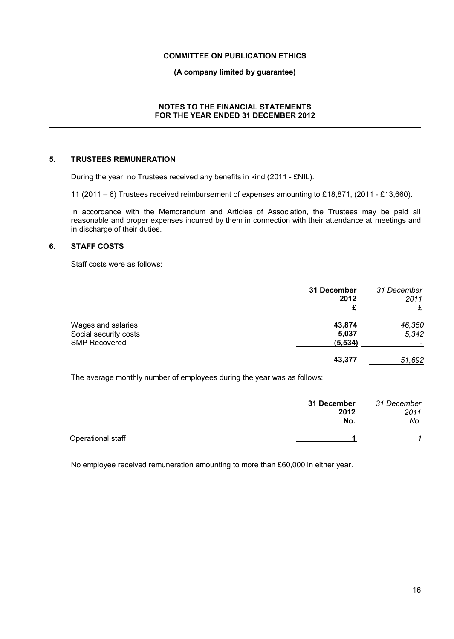#### **(A company limited by guarantee)**

## **NOTES TO THE FINANCIAL STATEMENTS FOR THE YEAR ENDED 31 DECEMBER 2012**

# **5. TRUSTEES REMUNERATION**

During the year, no Trustees received any benefits in kind (2011 - £NIL).

11 (2011 – 6) Trustees received reimbursement of expenses amounting to £18,871, (2011 - £13,660).

In accordance with the Memorandum and Articles of Association, the Trustees may be paid all reasonable and proper expenses incurred by them in connection with their attendance at meetings and in discharge of their duties.

#### **6. STAFF COSTS**

Staff costs were as follows:

|                                                                     | 31 December<br>2012<br>£    | 31 December<br>2011<br>£ |
|---------------------------------------------------------------------|-----------------------------|--------------------------|
| Wages and salaries<br>Social security costs<br><b>SMP Recovered</b> | 43,874<br>5,037<br>(5, 534) | 46,350<br>5,342          |
|                                                                     | <u>43.377</u>               | 51,692                   |

The average monthly number of employees during the year was as follows:

|                   | 31 December<br>2012<br>No. | 31 December<br>2011<br>No. |
|-------------------|----------------------------|----------------------------|
| Operational staff |                            |                            |

No employee received remuneration amounting to more than £60,000 in either year.